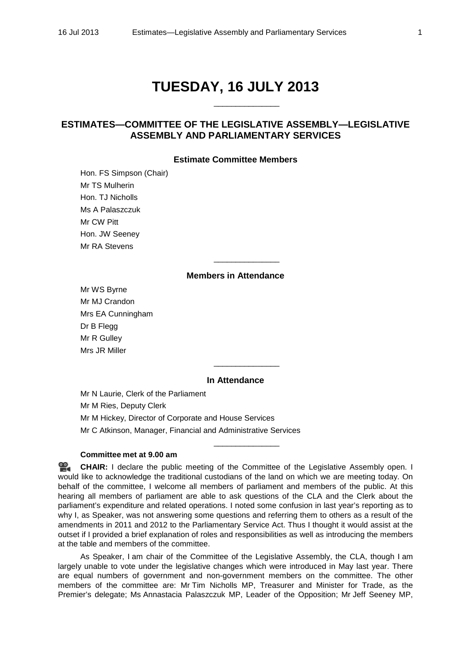# **TUESDAY, 16 JULY 2013**

\_\_\_\_\_\_\_\_\_\_\_\_\_\_\_

# **ESTIMATES—COMMITTEE OF THE LEGISLATIVE ASSEMBLY—LEGISLATIVE ASSEMBLY AND PARLIAMENTARY SERVICES**

# **Estimate Committee Members**

Hon. FS Simpson (Chair) Mr TS Mulherin Hon. TJ Nicholls Ms A Palaszczuk Mr CW Pitt Hon. JW Seeney Mr RA Stevens

# **Members in Attendance**

\_\_\_\_\_\_\_\_\_\_\_\_\_\_\_

Mr WS Byrne Mr MJ Crandon Mrs EA Cunningham Dr B Flegg Mr R Gulley Mrs JR Miller

# **In Attendance**

\_\_\_\_\_\_\_\_\_\_\_\_\_\_\_

\_\_\_\_\_\_\_\_\_\_\_\_\_\_\_

Mr N Laurie, Clerk of the Parliament Mr M Ries, Deputy Clerk Mr M Hickey, Director of Corporate and House Services Mr C Atkinson, Manager, Financial and Administrative Services

# **Committee met at 9.00 am**

**[CHAIR:](http://www.parliament.qld.gov.au/docs/find.aspx?id=0Mba20130716_085950)** I declare the public meeting of the Committee of the Legislative Assembly open. I would like to acknowledge the traditional custodians of the land on which we are meeting today. On behalf of the committee, I welcome all members of parliament and members of the public. At this hearing all members of parliament are able to ask questions of the CLA and the Clerk about the parliament's expenditure and related operations. I noted some confusion in last year's reporting as to why I, as Speaker, was not answering some questions and referring them to others as a result of the amendments in 2011 and 2012 to the Parliamentary Service Act. Thus I thought it would assist at the outset if I provided a brief explanation of roles and responsibilities as well as introducing the members at the table and members of the committee.

As Speaker, I am chair of the Committee of the Legislative Assembly, the CLA, though I am largely unable to vote under the legislative changes which were introduced in May last year. There are equal numbers of government and non-government members on the committee. The other members of the committee are: Mr Tim Nicholls MP, Treasurer and Minister for Trade, as the Premier's delegate; Ms Annastacia Palaszczuk MP, Leader of the Opposition; Mr Jeff Seeney MP,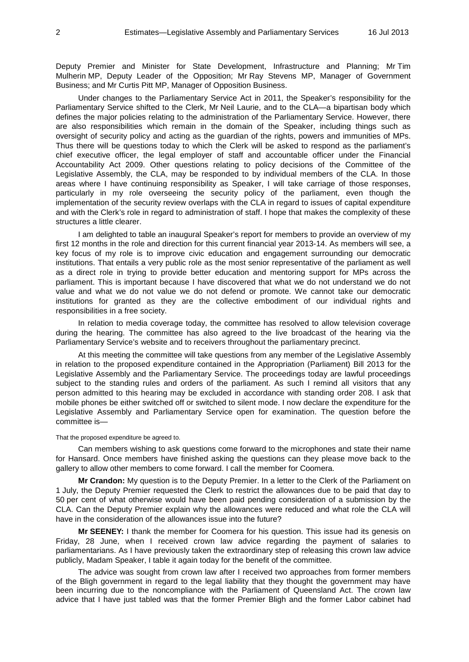Deputy Premier and Minister for State Development, Infrastructure and Planning; Mr Tim Mulherin MP, Deputy Leader of the Opposition; Mr Ray Stevens MP, Manager of Government Business; and Mr Curtis Pitt MP, Manager of Opposition Business.

Under changes to the Parliamentary Service Act in 2011, the Speaker's responsibility for the Parliamentary Service shifted to the Clerk, Mr Neil Laurie, and to the CLA—a bipartisan body which defines the major policies relating to the administration of the Parliamentary Service. However, there are also responsibilities which remain in the domain of the Speaker, including things such as oversight of security policy and acting as the guardian of the rights, powers and immunities of MPs. Thus there will be questions today to which the Clerk will be asked to respond as the parliament's chief executive officer, the legal employer of staff and accountable officer under the Financial Accountability Act 2009. Other questions relating to policy decisions of the Committee of the Legislative Assembly, the CLA, may be responded to by individual members of the CLA. In those areas where I have continuing responsibility as Speaker, I will take carriage of those responses, particularly in my role overseeing the security policy of the parliament, even though the implementation of the security review overlaps with the CLA in regard to issues of capital expenditure and with the Clerk's role in regard to administration of staff. I hope that makes the complexity of these structures a little clearer.

I am delighted to table an inaugural Speaker's report for members to provide an overview of my first 12 months in the role and direction for this current financial year 2013-14. As members will see, a key focus of my role is to improve civic education and engagement surrounding our democratic institutions. That entails a very public role as the most senior representative of the parliament as well as a direct role in trying to provide better education and mentoring support for MPs across the parliament. This is important because I have discovered that what we do not understand we do not value and what we do not value we do not defend or promote. We cannot take our democratic institutions for granted as they are the collective embodiment of our individual rights and responsibilities in a free society.

In relation to media coverage today, the committee has resolved to allow television coverage during the hearing. The committee has also agreed to the live broadcast of the hearing via the Parliamentary Service's website and to receivers throughout the parliamentary precinct.

At this meeting the committee will take questions from any member of the Legislative Assembly in relation to the proposed expenditure contained in the Appropriation (Parliament) Bill 2013 for the Legislative Assembly and the Parliamentary Service. The proceedings today are lawful proceedings subject to the standing rules and orders of the parliament. As such I remind all visitors that any person admitted to this hearing may be excluded in accordance with standing order 208. I ask that mobile phones be either switched off or switched to silent mode. I now declare the expenditure for the Legislative Assembly and Parliamentary Service open for examination. The question before the committee is—

#### That the proposed expenditure be agreed to.

Can members wishing to ask questions come forward to the microphones and state their name for Hansard. Once members have finished asking the questions can they please move back to the gallery to allow other members to come forward. I call the member for Coomera.

**Mr Crandon:** My question is to the Deputy Premier. In a letter to the Clerk of the Parliament on 1 July, the Deputy Premier requested the Clerk to restrict the allowances due to be paid that day to 50 per cent of what otherwise would have been paid pending consideration of a submission by the CLA. Can the Deputy Premier explain why the allowances were reduced and what role the CLA will have in the consideration of the allowances issue into the future?

**Mr SEENEY:** I thank the member for Coomera for his question. This issue had its genesis on Friday, 28 June, when I received crown law advice regarding the payment of salaries to parliamentarians. As I have previously taken the extraordinary step of releasing this crown law advice publicly, Madam Speaker, I table it again today for the benefit of the committee.

The advice was sought from crown law after I received two approaches from former members of the Bligh government in regard to the legal liability that they thought the government may have been incurring due to the noncompliance with the Parliament of Queensland Act. The crown law advice that I have just tabled was that the former Premier Bligh and the former Labor cabinet had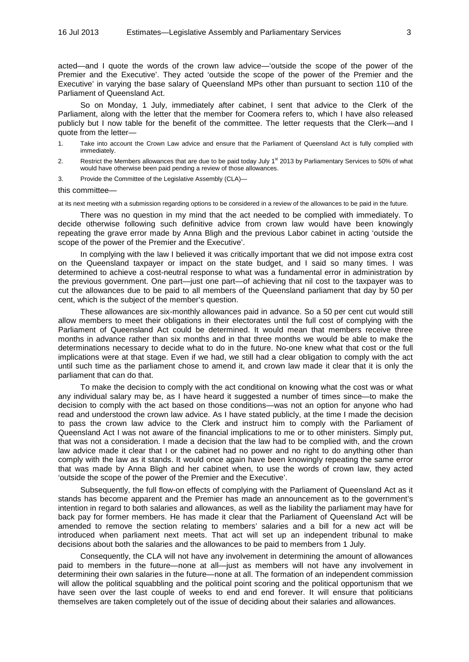acted—and I quote the words of the crown law advice—'outside the scope of the power of the Premier and the Executive'. They acted 'outside the scope of the power of the Premier and the Executive' in varying the base salary of Queensland MPs other than pursuant to section 110 of the Parliament of Queensland Act.

So on Monday, 1 July, immediately after cabinet, I sent that advice to the Clerk of the Parliament, along with the letter that the member for Coomera refers to, which I have also released publicly but I now table for the benefit of the committee. The letter requests that the Clerk—and I quote from the letter—

- 1. Take into account the Crown Law advice and ensure that the Parliament of Queensland Act is fully complied with immediately.
- 2. Restrict the Members allowances that are due to be paid today July  $1^{st}$  2013 by Parliamentary Services to 50% of what would have otherwise been paid pending a review of those allowances.
- 3. Provide the Committee of the Legislative Assembly (CLA)—
- this committee—

at its next meeting with a submission regarding options to be considered in a review of the allowances to be paid in the future.

There was no question in my mind that the act needed to be complied with immediately. To decide otherwise following such definitive advice from crown law would have been knowingly repeating the grave error made by Anna Bligh and the previous Labor cabinet in acting 'outside the scope of the power of the Premier and the Executive'.

In complying with the law I believed it was critically important that we did not impose extra cost on the Queensland taxpayer or impact on the state budget, and I said so many times. I was determined to achieve a cost-neutral response to what was a fundamental error in administration by the previous government. One part—just one part—of achieving that nil cost to the taxpayer was to cut the allowances due to be paid to all members of the Queensland parliament that day by 50 per cent, which is the subject of the member's question.

These allowances are six-monthly allowances paid in advance. So a 50 per cent cut would still allow members to meet their obligations in their electorates until the full cost of complying with the Parliament of Queensland Act could be determined. It would mean that members receive three months in advance rather than six months and in that three months we would be able to make the determinations necessary to decide what to do in the future. No-one knew what that cost or the full implications were at that stage. Even if we had, we still had a clear obligation to comply with the act until such time as the parliament chose to amend it, and crown law made it clear that it is only the parliament that can do that.

To make the decision to comply with the act conditional on knowing what the cost was or what any individual salary may be, as I have heard it suggested a number of times since—to make the decision to comply with the act based on those conditions—was not an option for anyone who had read and understood the crown law advice. As I have stated publicly, at the time I made the decision to pass the crown law advice to the Clerk and instruct him to comply with the Parliament of Queensland Act I was not aware of the financial implications to me or to other ministers. Simply put, that was not a consideration. I made a decision that the law had to be complied with, and the crown law advice made it clear that I or the cabinet had no power and no right to do anything other than comply with the law as it stands. It would once again have been knowingly repeating the same error that was made by Anna Bligh and her cabinet when, to use the words of crown law, they acted 'outside the scope of the power of the Premier and the Executive'.

Subsequently, the full flow-on effects of complying with the Parliament of Queensland Act as it stands has become apparent and the Premier has made an announcement as to the government's intention in regard to both salaries and allowances, as well as the liability the parliament may have for back pay for former members. He has made it clear that the Parliament of Queensland Act will be amended to remove the section relating to members' salaries and a bill for a new act will be introduced when parliament next meets. That act will set up an independent tribunal to make decisions about both the salaries and the allowances to be paid to members from 1 July.

Consequently, the CLA will not have any involvement in determining the amount of allowances paid to members in the future—none at all—just as members will not have any involvement in determining their own salaries in the future—none at all. The formation of an independent commission will allow the political squabbling and the political point scoring and the political opportunism that we have seen over the last couple of weeks to end and end forever. It will ensure that politicians themselves are taken completely out of the issue of deciding about their salaries and allowances.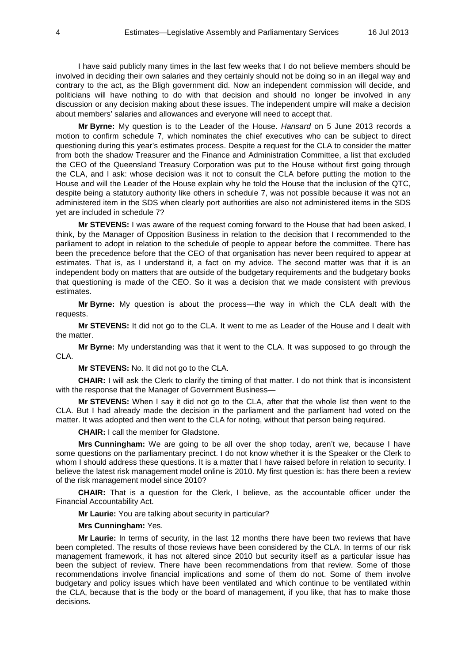I have said publicly many times in the last few weeks that I do not believe members should be involved in deciding their own salaries and they certainly should not be doing so in an illegal way and contrary to the act, as the Bligh government did. Now an independent commission will decide, and politicians will have nothing to do with that decision and should no longer be involved in any discussion or any decision making about these issues. The independent umpire will make a decision about members' salaries and allowances and everyone will need to accept that.

**Mr Byrne:** My question is to the Leader of the House. *Hansard* on 5 June 2013 records a motion to confirm schedule 7, which nominates the chief executives who can be subject to direct questioning during this year's estimates process. Despite a request for the CLA to consider the matter from both the shadow Treasurer and the Finance and Administration Committee, a list that excluded the CEO of the Queensland Treasury Corporation was put to the House without first going through the CLA, and I ask: whose decision was it not to consult the CLA before putting the motion to the House and will the Leader of the House explain why he told the House that the inclusion of the QTC, despite being a statutory authority like others in schedule 7, was not possible because it was not an administered item in the SDS when clearly port authorities are also not administered items in the SDS yet are included in schedule 7?

**Mr STEVENS:** I was aware of the request coming forward to the House that had been asked, I think, by the Manager of Opposition Business in relation to the decision that I recommended to the parliament to adopt in relation to the schedule of people to appear before the committee. There has been the precedence before that the CEO of that organisation has never been required to appear at estimates. That is, as I understand it, a fact on my advice. The second matter was that it is an independent body on matters that are outside of the budgetary requirements and the budgetary books that questioning is made of the CEO. So it was a decision that we made consistent with previous estimates.

**Mr Byrne:** My question is about the process—the way in which the CLA dealt with the requests.

**Mr STEVENS:** It did not go to the CLA. It went to me as Leader of the House and I dealt with the matter.

**Mr Byrne:** My understanding was that it went to the CLA. It was supposed to go through the CLA.

**Mr STEVENS:** No. It did not go to the CLA.

**CHAIR:** I will ask the Clerk to clarify the timing of that matter. I do not think that is inconsistent with the response that the Manager of Government Business—

**Mr STEVENS:** When I say it did not go to the CLA, after that the whole list then went to the CLA. But I had already made the decision in the parliament and the parliament had voted on the matter. It was adopted and then went to the CLA for noting, without that person being required.

**CHAIR:** I call the member for Gladstone.

**Mrs Cunningham:** We are going to be all over the shop today, aren't we, because I have some questions on the parliamentary precinct. I do not know whether it is the Speaker or the Clerk to whom I should address these questions. It is a matter that I have raised before in relation to security. I believe the latest risk management model online is 2010. My first question is: has there been a review of the risk management model since 2010?

**CHAIR:** That is a question for the Clerk, I believe, as the accountable officer under the Financial Accountability Act.

**Mr Laurie:** You are talking about security in particular?

**Mrs Cunningham:** Yes.

**Mr Laurie:** In terms of security, in the last 12 months there have been two reviews that have been completed. The results of those reviews have been considered by the CLA. In terms of our risk management framework, it has not altered since 2010 but security itself as a particular issue has been the subject of review. There have been recommendations from that review. Some of those recommendations involve financial implications and some of them do not. Some of them involve budgetary and policy issues which have been ventilated and which continue to be ventilated within the CLA, because that is the body or the board of management, if you like, that has to make those decisions.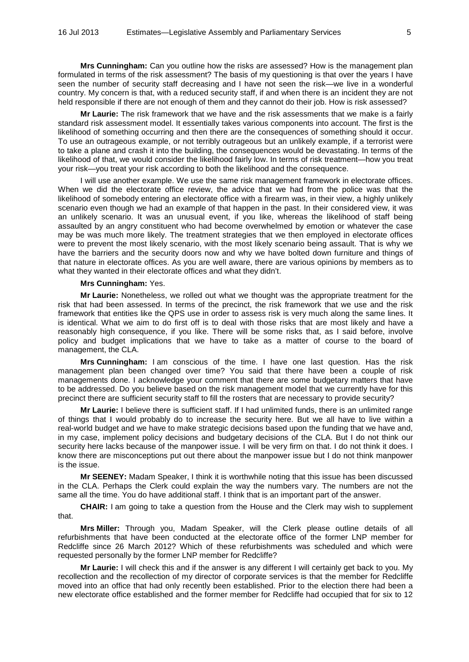**Mrs Cunningham:** Can you outline how the risks are assessed? How is the management plan formulated in terms of the risk assessment? The basis of my questioning is that over the years I have seen the number of security staff decreasing and I have not seen the risk—we live in a wonderful country. My concern is that, with a reduced security staff, if and when there is an incident they are not held responsible if there are not enough of them and they cannot do their job. How is risk assessed?

**Mr Laurie:** The risk framework that we have and the risk assessments that we make is a fairly standard risk assessment model. It essentially takes various components into account. The first is the likelihood of something occurring and then there are the consequences of something should it occur. To use an outrageous example, or not terribly outrageous but an unlikely example, if a terrorist were to take a plane and crash it into the building, the consequences would be devastating. In terms of the likelihood of that, we would consider the likelihood fairly low. In terms of risk treatment—how you treat your risk—you treat your risk according to both the likelihood and the consequence.

I will use another example. We use the same risk management framework in electorate offices. When we did the electorate office review, the advice that we had from the police was that the likelihood of somebody entering an electorate office with a firearm was, in their view, a highly unlikely scenario even though we had an example of that happen in the past. In their considered view, it was an unlikely scenario. It was an unusual event, if you like, whereas the likelihood of staff being assaulted by an angry constituent who had become overwhelmed by emotion or whatever the case may be was much more likely. The treatment strategies that we then employed in electorate offices were to prevent the most likely scenario, with the most likely scenario being assault. That is why we have the barriers and the security doors now and why we have bolted down furniture and things of that nature in electorate offices. As you are well aware, there are various opinions by members as to what they wanted in their electorate offices and what they didn't.

#### **Mrs Cunningham:** Yes.

**Mr Laurie:** Nonetheless, we rolled out what we thought was the appropriate treatment for the risk that had been assessed. In terms of the precinct, the risk framework that we use and the risk framework that entities like the QPS use in order to assess risk is very much along the same lines. It is identical. What we aim to do first off is to deal with those risks that are most likely and have a reasonably high consequence, if you like. There will be some risks that, as I said before, involve policy and budget implications that we have to take as a matter of course to the board of management, the CLA.

**Mrs Cunningham:** I am conscious of the time. I have one last question. Has the risk management plan been changed over time? You said that there have been a couple of risk managements done. I acknowledge your comment that there are some budgetary matters that have to be addressed. Do you believe based on the risk management model that we currently have for this precinct there are sufficient security staff to fill the rosters that are necessary to provide security?

**Mr Laurie:** I believe there is sufficient staff. If I had unlimited funds, there is an unlimited range of things that I would probably do to increase the security here. But we all have to live within a real-world budget and we have to make strategic decisions based upon the funding that we have and, in my case, implement policy decisions and budgetary decisions of the CLA. But I do not think our security here lacks because of the manpower issue. I will be very firm on that. I do not think it does. I know there are misconceptions put out there about the manpower issue but I do not think manpower is the issue.

**Mr SEENEY:** Madam Speaker, I think it is worthwhile noting that this issue has been discussed in the CLA. Perhaps the Clerk could explain the way the numbers vary. The numbers are not the same all the time. You do have additional staff. I think that is an important part of the answer.

**CHAIR:** I am going to take a question from the House and the Clerk may wish to supplement that.

**Mrs Miller:** Through you, Madam Speaker, will the Clerk please outline details of all refurbishments that have been conducted at the electorate office of the former LNP member for Redcliffe since 26 March 2012? Which of these refurbishments was scheduled and which were requested personally by the former LNP member for Redcliffe?

**Mr Laurie:** I will check this and if the answer is any different I will certainly get back to you. My recollection and the recollection of my director of corporate services is that the member for Redcliffe moved into an office that had only recently been established. Prior to the election there had been a new electorate office established and the former member for Redcliffe had occupied that for six to 12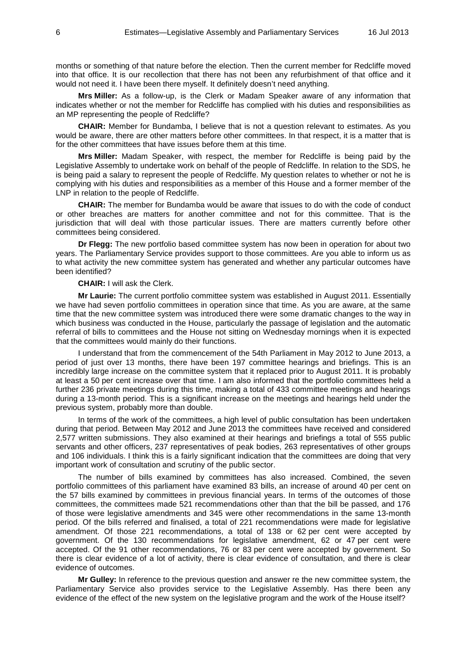months or something of that nature before the election. Then the current member for Redcliffe moved into that office. It is our recollection that there has not been any refurbishment of that office and it would not need it. I have been there myself. It definitely doesn't need anything.

**Mrs Miller:** As a follow-up, is the Clerk or Madam Speaker aware of any information that indicates whether or not the member for Redcliffe has complied with his duties and responsibilities as an MP representing the people of Redcliffe?

**CHAIR:** Member for Bundamba, I believe that is not a question relevant to estimates. As you would be aware, there are other matters before other committees. In that respect, it is a matter that is for the other committees that have issues before them at this time.

**Mrs Miller:** Madam Speaker, with respect, the member for Redcliffe is being paid by the Legislative Assembly to undertake work on behalf of the people of Redcliffe. In relation to the SDS, he is being paid a salary to represent the people of Redcliffe. My question relates to whether or not he is complying with his duties and responsibilities as a member of this House and a former member of the LNP in relation to the people of Redcliffe.

**CHAIR:** The member for Bundamba would be aware that issues to do with the code of conduct or other breaches are matters for another committee and not for this committee. That is the jurisdiction that will deal with those particular issues. There are matters currently before other committees being considered.

**Dr Flegg:** The new portfolio based committee system has now been in operation for about two years. The Parliamentary Service provides support to those committees. Are you able to inform us as to what activity the new committee system has generated and whether any particular outcomes have been identified?

**CHAIR:** I will ask the Clerk.

**Mr Laurie:** The current portfolio committee system was established in August 2011. Essentially we have had seven portfolio committees in operation since that time. As you are aware, at the same time that the new committee system was introduced there were some dramatic changes to the way in which business was conducted in the House, particularly the passage of legislation and the automatic referral of bills to committees and the House not sitting on Wednesday mornings when it is expected that the committees would mainly do their functions.

I understand that from the commencement of the 54th Parliament in May 2012 to June 2013, a period of just over 13 months, there have been 197 committee hearings and briefings. This is an incredibly large increase on the committee system that it replaced prior to August 2011. It is probably at least a 50 per cent increase over that time. I am also informed that the portfolio committees held a further 236 private meetings during this time, making a total of 433 committee meetings and hearings during a 13-month period. This is a significant increase on the meetings and hearings held under the previous system, probably more than double.

In terms of the work of the committees, a high level of public consultation has been undertaken during that period. Between May 2012 and June 2013 the committees have received and considered 2,577 written submissions. They also examined at their hearings and briefings a total of 555 public servants and other officers, 237 representatives of peak bodies, 263 representatives of other groups and 106 individuals. I think this is a fairly significant indication that the committees are doing that very important work of consultation and scrutiny of the public sector.

The number of bills examined by committees has also increased. Combined, the seven portfolio committees of this parliament have examined 83 bills, an increase of around 40 per cent on the 57 bills examined by committees in previous financial years. In terms of the outcomes of those committees, the committees made 521 recommendations other than that the bill be passed, and 176 of those were legislative amendments and 345 were other recommendations in the same 13-month period. Of the bills referred and finalised, a total of 221 recommendations were made for legislative amendment. Of those 221 recommendations, a total of 138 or 62 per cent were accepted by government. Of the 130 recommendations for legislative amendment, 62 or 47 per cent were accepted. Of the 91 other recommendations, 76 or 83 per cent were accepted by government. So there is clear evidence of a lot of activity, there is clear evidence of consultation, and there is clear evidence of outcomes.

**Mr Gulley:** In reference to the previous question and answer re the new committee system, the Parliamentary Service also provides service to the Legislative Assembly. Has there been any evidence of the effect of the new system on the legislative program and the work of the House itself?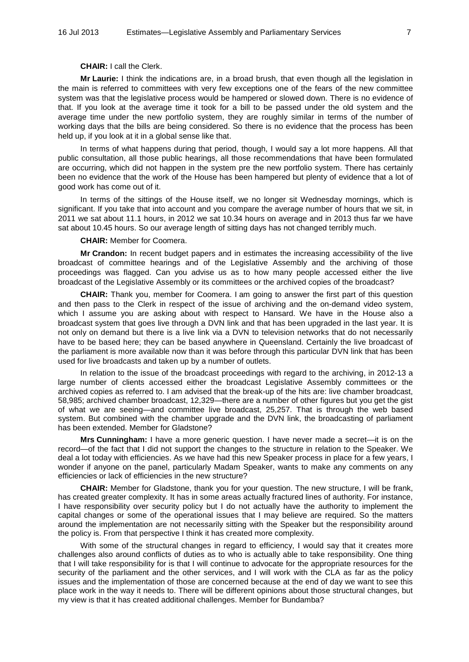## **CHAIR:** I call the Clerk.

**Mr Laurie:** I think the indications are, in a broad brush, that even though all the legislation in the main is referred to committees with very few exceptions one of the fears of the new committee system was that the legislative process would be hampered or slowed down. There is no evidence of that. If you look at the average time it took for a bill to be passed under the old system and the average time under the new portfolio system, they are roughly similar in terms of the number of working days that the bills are being considered. So there is no evidence that the process has been held up, if you look at it in a global sense like that.

In terms of what happens during that period, though, I would say a lot more happens. All that public consultation, all those public hearings, all those recommendations that have been formulated are occurring, which did not happen in the system pre the new portfolio system. There has certainly been no evidence that the work of the House has been hampered but plenty of evidence that a lot of good work has come out of it.

In terms of the sittings of the House itself, we no longer sit Wednesday mornings, which is significant. If you take that into account and you compare the average number of hours that we sit, in 2011 we sat about 11.1 hours, in 2012 we sat 10.34 hours on average and in 2013 thus far we have sat about 10.45 hours. So our average length of sitting days has not changed terribly much.

## **CHAIR:** Member for Coomera.

**Mr Crandon:** In recent budget papers and in estimates the increasing accessibility of the live broadcast of committee hearings and of the Legislative Assembly and the archiving of those proceedings was flagged. Can you advise us as to how many people accessed either the live broadcast of the Legislative Assembly or its committees or the archived copies of the broadcast?

**CHAIR:** Thank you, member for Coomera. I am going to answer the first part of this question and then pass to the Clerk in respect of the issue of archiving and the on-demand video system, which I assume you are asking about with respect to Hansard. We have in the House also a broadcast system that goes live through a DVN link and that has been upgraded in the last year. It is not only on demand but there is a live link via a DVN to television networks that do not necessarily have to be based here; they can be based anywhere in Queensland. Certainly the live broadcast of the parliament is more available now than it was before through this particular DVN link that has been used for live broadcasts and taken up by a number of outlets.

In relation to the issue of the broadcast proceedings with regard to the archiving, in 2012-13 a large number of clients accessed either the broadcast Legislative Assembly committees or the archived copies as referred to. I am advised that the break-up of the hits are: live chamber broadcast, 58,985; archived chamber broadcast, 12,329—there are a number of other figures but you get the gist of what we are seeing—and committee live broadcast, 25,257. That is through the web based system. But combined with the chamber upgrade and the DVN link, the broadcasting of parliament has been extended. Member for Gladstone?

**Mrs Cunningham:** I have a more generic question. I have never made a secret—it is on the record—of the fact that I did not support the changes to the structure in relation to the Speaker. We deal a lot today with efficiencies. As we have had this new Speaker process in place for a few years, I wonder if anyone on the panel, particularly Madam Speaker, wants to make any comments on any efficiencies or lack of efficiencies in the new structure?

**CHAIR:** Member for Gladstone, thank you for your question. The new structure, I will be frank, has created greater complexity. It has in some areas actually fractured lines of authority. For instance, I have responsibility over security policy but I do not actually have the authority to implement the capital changes or some of the operational issues that I may believe are required. So the matters around the implementation are not necessarily sitting with the Speaker but the responsibility around the policy is. From that perspective I think it has created more complexity.

With some of the structural changes in regard to efficiency, I would say that it creates more challenges also around conflicts of duties as to who is actually able to take responsibility. One thing that I will take responsibility for is that I will continue to advocate for the appropriate resources for the security of the parliament and the other services, and I will work with the CLA as far as the policy issues and the implementation of those are concerned because at the end of day we want to see this place work in the way it needs to. There will be different opinions about those structural changes, but my view is that it has created additional challenges. Member for Bundamba?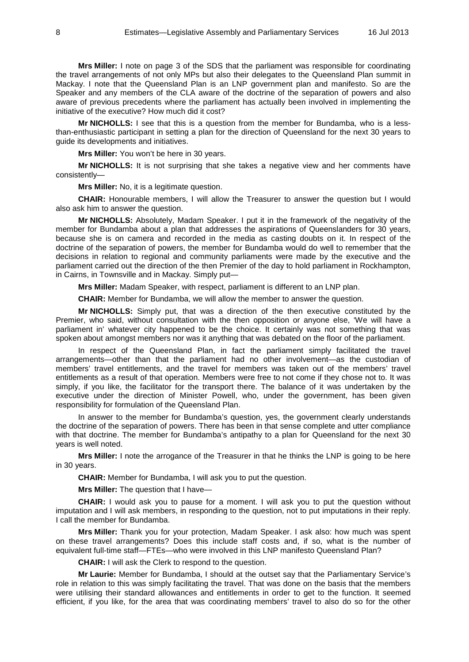**Mrs Miller:** I note on page 3 of the SDS that the parliament was responsible for coordinating the travel arrangements of not only MPs but also their delegates to the Queensland Plan summit in Mackay. I note that the Queensland Plan is an LNP government plan and manifesto. So are the Speaker and any members of the CLA aware of the doctrine of the separation of powers and also aware of previous precedents where the parliament has actually been involved in implementing the initiative of the executive? How much did it cost?

**Mr NICHOLLS:** I see that this is a question from the member for Bundamba, who is a lessthan-enthusiastic participant in setting a plan for the direction of Queensland for the next 30 years to guide its developments and initiatives.

**Mrs Miller:** You won't be here in 30 years.

**Mr NICHOLLS:** It is not surprising that she takes a negative view and her comments have consistently—

**Mrs Miller:** No, it is a legitimate question.

**CHAIR:** Honourable members, I will allow the Treasurer to answer the question but I would also ask him to answer the question.

**Mr NICHOLLS:** Absolutely, Madam Speaker. I put it in the framework of the negativity of the member for Bundamba about a plan that addresses the aspirations of Queenslanders for 30 years, because she is on camera and recorded in the media as casting doubts on it. In respect of the doctrine of the separation of powers, the member for Bundamba would do well to remember that the decisions in relation to regional and community parliaments were made by the executive and the parliament carried out the direction of the then Premier of the day to hold parliament in Rockhampton, in Cairns, in Townsville and in Mackay. Simply put—

**Mrs Miller:** Madam Speaker, with respect, parliament is different to an LNP plan.

**CHAIR:** Member for Bundamba, we will allow the member to answer the question.

**Mr NICHOLLS:** Simply put, that was a direction of the then executive constituted by the Premier, who said, without consultation with the then opposition or anyone else, 'We will have a parliament in' whatever city happened to be the choice. It certainly was not something that was spoken about amongst members nor was it anything that was debated on the floor of the parliament.

In respect of the Queensland Plan, in fact the parliament simply facilitated the travel arrangements—other than that the parliament had no other involvement—as the custodian of members' travel entitlements, and the travel for members was taken out of the members' travel entitlements as a result of that operation. Members were free to not come if they chose not to. It was simply, if you like, the facilitator for the transport there. The balance of it was undertaken by the executive under the direction of Minister Powell, who, under the government, has been given responsibility for formulation of the Queensland Plan.

In answer to the member for Bundamba's question, yes, the government clearly understands the doctrine of the separation of powers. There has been in that sense complete and utter compliance with that doctrine. The member for Bundamba's antipathy to a plan for Queensland for the next 30 years is well noted.

**Mrs Miller:** I note the arrogance of the Treasurer in that he thinks the LNP is going to be here in 30 years.

**CHAIR:** Member for Bundamba, I will ask you to put the question.

**Mrs Miller:** The question that I have—

**CHAIR:** I would ask you to pause for a moment. I will ask you to put the question without imputation and I will ask members, in responding to the question, not to put imputations in their reply. I call the member for Bundamba.

**Mrs Miller:** Thank you for your protection, Madam Speaker. I ask also: how much was spent on these travel arrangements? Does this include staff costs and, if so, what is the number of equivalent full-time staff—FTEs—who were involved in this LNP manifesto Queensland Plan?

**CHAIR:** I will ask the Clerk to respond to the question.

**Mr Laurie:** Member for Bundamba, I should at the outset say that the Parliamentary Service's role in relation to this was simply facilitating the travel. That was done on the basis that the members were utilising their standard allowances and entitlements in order to get to the function. It seemed efficient, if you like, for the area that was coordinating members' travel to also do so for the other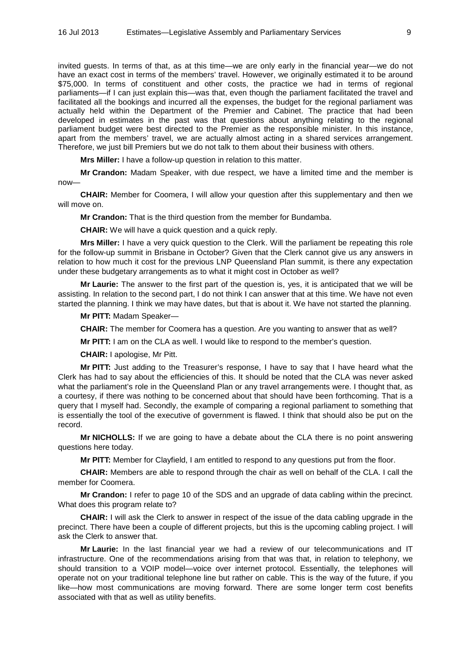invited guests. In terms of that, as at this time—we are only early in the financial year—we do not have an exact cost in terms of the members' travel. However, we originally estimated it to be around \$75,000. In terms of constituent and other costs, the practice we had in terms of regional parliaments—if I can just explain this—was that, even though the parliament facilitated the travel and facilitated all the bookings and incurred all the expenses, the budget for the regional parliament was actually held within the Department of the Premier and Cabinet. The practice that had been developed in estimates in the past was that questions about anything relating to the regional parliament budget were best directed to the Premier as the responsible minister. In this instance, apart from the members' travel, we are actually almost acting in a shared services arrangement. Therefore, we just bill Premiers but we do not talk to them about their business with others.

**Mrs Miller:** I have a follow-up question in relation to this matter.

**Mr Crandon:** Madam Speaker, with due respect, we have a limited time and the member is now—

**CHAIR:** Member for Coomera, I will allow your question after this supplementary and then we will move on.

**Mr Crandon:** That is the third question from the member for Bundamba.

**CHAIR:** We will have a quick question and a quick reply.

**Mrs Miller:** I have a very quick question to the Clerk. Will the parliament be repeating this role for the follow-up summit in Brisbane in October? Given that the Clerk cannot give us any answers in relation to how much it cost for the previous LNP Queensland Plan summit, is there any expectation under these budgetary arrangements as to what it might cost in October as well?

**Mr Laurie:** The answer to the first part of the question is, yes, it is anticipated that we will be assisting. In relation to the second part, I do not think I can answer that at this time. We have not even started the planning. I think we may have dates, but that is about it. We have not started the planning.

**Mr PITT:** Madam Speaker—

**CHAIR:** The member for Coomera has a question. Are you wanting to answer that as well?

**Mr PITT:** I am on the CLA as well. I would like to respond to the member's question.

**CHAIR:** I apologise, Mr Pitt.

**Mr PITT:** Just adding to the Treasurer's response, I have to say that I have heard what the Clerk has had to say about the efficiencies of this. It should be noted that the CLA was never asked what the parliament's role in the Queensland Plan or any travel arrangements were. I thought that, as a courtesy, if there was nothing to be concerned about that should have been forthcoming. That is a query that I myself had. Secondly, the example of comparing a regional parliament to something that is essentially the tool of the executive of government is flawed. I think that should also be put on the record.

**Mr NICHOLLS:** If we are going to have a debate about the CLA there is no point answering questions here today.

**Mr PITT:** Member for Clayfield, I am entitled to respond to any questions put from the floor.

**CHAIR:** Members are able to respond through the chair as well on behalf of the CLA. I call the member for Coomera.

**Mr Crandon:** I refer to page 10 of the SDS and an upgrade of data cabling within the precinct. What does this program relate to?

**CHAIR:** I will ask the Clerk to answer in respect of the issue of the data cabling upgrade in the precinct. There have been a couple of different projects, but this is the upcoming cabling project. I will ask the Clerk to answer that.

**Mr Laurie:** In the last financial year we had a review of our telecommunications and IT infrastructure. One of the recommendations arising from that was that, in relation to telephony, we should transition to a VOIP model—voice over internet protocol. Essentially, the telephones will operate not on your traditional telephone line but rather on cable. This is the way of the future, if you like—how most communications are moving forward. There are some longer term cost benefits associated with that as well as utility benefits.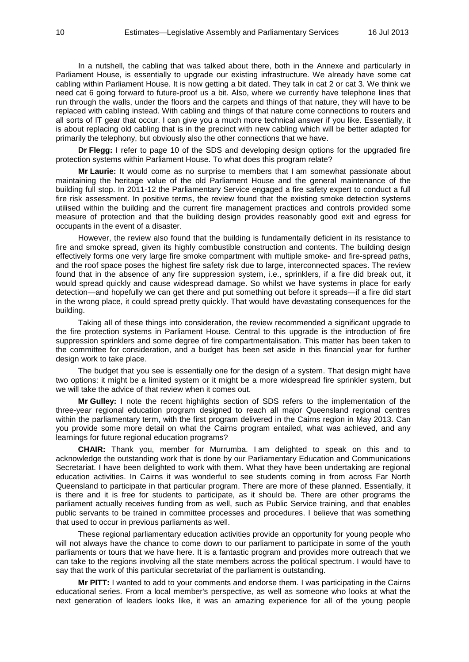In a nutshell, the cabling that was talked about there, both in the Annexe and particularly in Parliament House, is essentially to upgrade our existing infrastructure. We already have some cat cabling within Parliament House. It is now getting a bit dated. They talk in cat 2 or cat 3. We think we need cat 6 going forward to future-proof us a bit. Also, where we currently have telephone lines that run through the walls, under the floors and the carpets and things of that nature, they will have to be replaced with cabling instead. With cabling and things of that nature come connections to routers and all sorts of IT gear that occur. I can give you a much more technical answer if you like. Essentially, it is about replacing old cabling that is in the precinct with new cabling which will be better adapted for primarily the telephony, but obviously also the other connections that we have.

**Dr Flegg:** I refer to page 10 of the SDS and developing design options for the upgraded fire protection systems within Parliament House. To what does this program relate?

**Mr Laurie:** It would come as no surprise to members that I am somewhat passionate about maintaining the heritage value of the old Parliament House and the general maintenance of the building full stop. In 2011-12 the Parliamentary Service engaged a fire safety expert to conduct a full fire risk assessment. In positive terms, the review found that the existing smoke detection systems utilised within the building and the current fire management practices and controls provided some measure of protection and that the building design provides reasonably good exit and egress for occupants in the event of a disaster.

However, the review also found that the building is fundamentally deficient in its resistance to fire and smoke spread, given its highly combustible construction and contents. The building design effectively forms one very large fire smoke compartment with multiple smoke- and fire-spread paths, and the roof space poses the highest fire safety risk due to large, interconnected spaces. The review found that in the absence of any fire suppression system, i.e., sprinklers, if a fire did break out, it would spread quickly and cause widespread damage. So whilst we have systems in place for early detection—and hopefully we can get there and put something out before it spreads—if a fire did start in the wrong place, it could spread pretty quickly. That would have devastating consequences for the building.

Taking all of these things into consideration, the review recommended a significant upgrade to the fire protection systems in Parliament House. Central to this upgrade is the introduction of fire suppression sprinklers and some degree of fire compartmentalisation. This matter has been taken to the committee for consideration, and a budget has been set aside in this financial year for further design work to take place.

The budget that you see is essentially one for the design of a system. That design might have two options: it might be a limited system or it might be a more widespread fire sprinkler system, but we will take the advice of that review when it comes out.

**Mr Gulley:** I note the recent highlights section of SDS refers to the implementation of the three-year regional education program designed to reach all major Queensland regional centres within the parliamentary term, with the first program delivered in the Cairns region in May 2013. Can you provide some more detail on what the Cairns program entailed, what was achieved, and any learnings for future regional education programs?

**CHAIR:** Thank you, member for Murrumba. I am delighted to speak on this and to acknowledge the outstanding work that is done by our Parliamentary Education and Communications Secretariat. I have been delighted to work with them. What they have been undertaking are regional education activities. In Cairns it was wonderful to see students coming in from across Far North Queensland to participate in that particular program. There are more of these planned. Essentially, it is there and it is free for students to participate, as it should be. There are other programs the parliament actually receives funding from as well, such as Public Service training, and that enables public servants to be trained in committee processes and procedures. I believe that was something that used to occur in previous parliaments as well.

These regional parliamentary education activities provide an opportunity for young people who will not always have the chance to come down to our parliament to participate in some of the youth parliaments or tours that we have here. It is a fantastic program and provides more outreach that we can take to the regions involving all the state members across the political spectrum. I would have to say that the work of this particular secretariat of the parliament is outstanding.

**Mr PITT:** I wanted to add to your comments and endorse them. I was participating in the Cairns educational series. From a local member's perspective, as well as someone who looks at what the next generation of leaders looks like, it was an amazing experience for all of the young people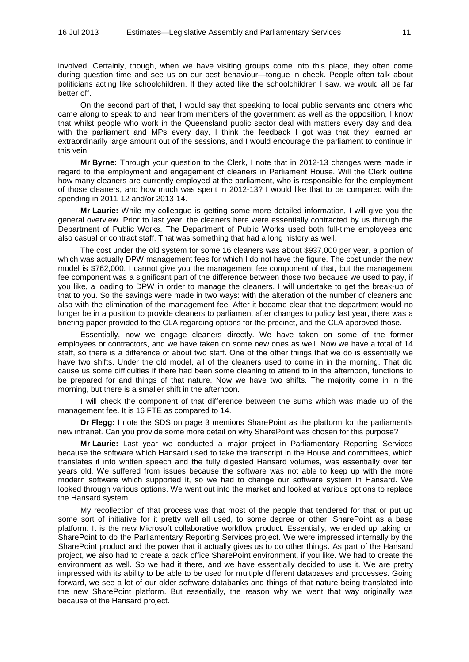involved. Certainly, though, when we have visiting groups come into this place, they often come during question time and see us on our best behaviour—tongue in cheek. People often talk about politicians acting like schoolchildren. If they acted like the schoolchildren I saw, we would all be far better off.

On the second part of that, I would say that speaking to local public servants and others who came along to speak to and hear from members of the government as well as the opposition, I know that whilst people who work in the Queensland public sector deal with matters every day and deal with the parliament and MPs every day, I think the feedback I got was that they learned an extraordinarily large amount out of the sessions, and I would encourage the parliament to continue in this vein.

**Mr Byrne:** Through your question to the Clerk, I note that in 2012-13 changes were made in regard to the employment and engagement of cleaners in Parliament House. Will the Clerk outline how many cleaners are currently employed at the parliament, who is responsible for the employment of those cleaners, and how much was spent in 2012-13? I would like that to be compared with the spending in 2011-12 and/or 2013-14.

**Mr Laurie:** While my colleague is getting some more detailed information, I will give you the general overview. Prior to last year, the cleaners here were essentially contracted by us through the Department of Public Works. The Department of Public Works used both full-time employees and also casual or contract staff. That was something that had a long history as well.

The cost under the old system for some 16 cleaners was about \$937,000 per year, a portion of which was actually DPW management fees for which I do not have the figure. The cost under the new model is \$762,000. I cannot give you the management fee component of that, but the management fee component was a significant part of the difference between those two because we used to pay, if you like, a loading to DPW in order to manage the cleaners. I will undertake to get the break-up of that to you. So the savings were made in two ways: with the alteration of the number of cleaners and also with the elimination of the management fee. After it became clear that the department would no longer be in a position to provide cleaners to parliament after changes to policy last year, there was a briefing paper provided to the CLA regarding options for the precinct, and the CLA approved those.

Essentially, now we engage cleaners directly. We have taken on some of the former employees or contractors, and we have taken on some new ones as well. Now we have a total of 14 staff, so there is a difference of about two staff. One of the other things that we do is essentially we have two shifts. Under the old model, all of the cleaners used to come in in the morning. That did cause us some difficulties if there had been some cleaning to attend to in the afternoon, functions to be prepared for and things of that nature. Now we have two shifts. The majority come in in the morning, but there is a smaller shift in the afternoon.

I will check the component of that difference between the sums which was made up of the management fee. It is 16 FTE as compared to 14.

**Dr Flegg:** I note the SDS on page 3 mentions SharePoint as the platform for the parliament's new intranet. Can you provide some more detail on why SharePoint was chosen for this purpose?

**Mr Laurie:** Last year we conducted a major project in Parliamentary Reporting Services because the software which Hansard used to take the transcript in the House and committees, which translates it into written speech and the fully digested Hansard volumes, was essentially over ten years old. We suffered from issues because the software was not able to keep up with the more modern software which supported it, so we had to change our software system in Hansard. We looked through various options. We went out into the market and looked at various options to replace the Hansard system.

My recollection of that process was that most of the people that tendered for that or put up some sort of initiative for it pretty well all used, to some degree or other, SharePoint as a base platform. It is the new Microsoft collaborative workflow product. Essentially, we ended up taking on SharePoint to do the Parliamentary Reporting Services project. We were impressed internally by the SharePoint product and the power that it actually gives us to do other things. As part of the Hansard project, we also had to create a back office SharePoint environment, if you like. We had to create the environment as well. So we had it there, and we have essentially decided to use it. We are pretty impressed with its ability to be able to be used for multiple different databases and processes. Going forward, we see a lot of our older software databanks and things of that nature being translated into the new SharePoint platform. But essentially, the reason why we went that way originally was because of the Hansard project.